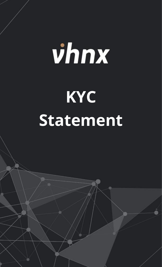## vhnx **KYC Statement**

The final market and its leveraged products are complex instruments that complex instruments of potentially losing capital. The complex instruments of potential losing capital losing capital. The complex instruments of po  $M_{\rm{3}}$  of trading accounts lose investments when using leveraged products. You should not invest more than you are than you are than you are than you are than you are than you are than you are than you are than you are prepared to lose. Considering your market experience and knowledge is very important before using our services. By using the

services of  $\mathcal{N}$  and agreement with the terms agreement with the risks involved.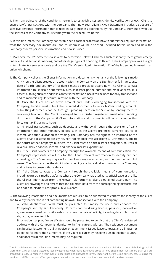1. The main objective of the conditions herein is to establish a systemic identity verification of each Client to ensure lawful transactions with the Company. The Know-Your-Client ("KYC") Statement includes disclosure of sensitive personal information that is used in daily business operations by the Company. Individuals who use the services of the Company must comply with the procedures herein.

2. In this document, the Company has established a formal process on how to submit the required information, what the necessary documents are, and to whom it will be disclosed. Included herein when and how the Company collects personal information and how it is used.

3. Moreover, the KYC Statement also aims to determine unlawful schemes such as identity theft, grand larceny, financial fraud, terrorist financing, and other illegal types of financing. In this case, the Company invokes its right to terminate its services entirely and use the Client's submitted information if he/she is deemed involved in an unlawful scheme.

4. The Company collects the Client's information and documents when any of the following is made:

A.) When the Client creates an account with the Company on the Site, his/her full name, age, date of birth, and country of residence must be provided accordingly. The Client's contact information must also be submitted, such as his/her phone number and email address. It is essential to log current and valid contact information since it will be used for daily transactions and to maintain regular communication with the Company.

B.) Once the Client has an active account and starts exchanging transactions with the Company, he/she must submit the required documents to verify his/her trading account. Submitting documents can be through uploading them on the Site or by sending them to services@vhnx.com. The Client is obliged to use his/her registered email when sending documents to the Company. All Client information and documents will be processed within forty-eight (48) business hours.

C.) Financial transactions, such as deposits and withdrawal, require the provision of bank information and other monetary details, such as the Client's preferred currency, source of income, and fund allocation for trading. The Company has the right to be informed of the Client's financial status to classify his/her trading objectives accordingly. Furthermore, due to the nature of the Company's business, the Client must also cite his/her occupation, sources of revenue, daily or annual income, and financial market expenditure.

D.) If the Client contacts the Company through the available means of communication, the Company's representative will ask for the Client's relevant information to identify him/her accordingly. The Company may ask for the Client's registered email, account number, and full name. The Company has the right to deny helping any individual who contacts the Company and refuses to present those details.

E.) If the Client contacts the Company through the available means of communication, including on social media platforms where the Company has cited as its official page or profile, the Client's information from the relevant platform may also be obtained accordingly. The Client acknowledges and agrees that the collected data from the corresponding platform can be added to his/her Client profile in VHNX.com.

5. The following information and documents are required to be submitted to confirm the identity of the Client and to verify that he/she is not committing unlawful transactions with the Company:

A.) Valid identification cards must be presented to simplify the users and enhance the Company's security simultaneously. ID cards can be driving license, passport, national or government-issued cards. All cards must show the date of validity, including date of birth and signature, where feasible.

B.) A residential proof or certificate should be presented to verify that the Client's registered address with the Company is identical to his/her current address. The residence document can be a bank statement, utility invoice, or government-issued lease contract, and all must not be dated for more than 6 months. If the Client is currently residing outside his/her country, additional residential documents may be required.

The financial market and its leveraged products are complex instruments that come with a high risk of potentially losing capital. More than 73% of trading accounts lose investments when using leveraged products. You should not invest more than you are prepared to lose. Considering your market experience and knowledge is very important before using our services. By using the services of VHNX.com, you affirm your agreement with the terms and conditions and accept all the risks involved.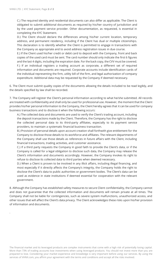.

C.) The required identity and residential documents can also differ as applicable. The Client is obligated to submit additional documents as required by his/her country of jurisdiction and by the used payment service provider. Other documentation, as requested, is essential in completing the KYC Statement.

D.) The Client should declare the differences among his/her current location, temporary address, and permanent residency, including if the Client has dual or multiple citizenships. This declaration is to identify whether the Client is permitted to engage in transactions with the Company as appropriate and to avoid address registration issues in due course.

E.) If the Client used his/her credit or debit card to deposit with the Company, front and back copies of the used card must be sent. The card number should only indicate the first 6 figures and the last 4 digits, including the expiration date. For the back copy, the CVV must be covered. F.) If an individual registers a trading account as corporate, a different set of required information and documents are required. Corporate accounts include identification cards of the individual representing the firm, utility bill of the firm, and legal authorization of company expenditure. Additional data may be requested by the Company if deemed necessary.

6. The Client must submit quality copies of the documents allowing the details included to be read legibly, and the details specified by law shall be recorded.

7. The Company will register the Client's personal information according to what he/she submitted. All records are treated with confidentiality and shall only be used for professional use. However, the moment that the Client provides his/her personal information to the Company, the Client hereby agrees that it can be used for company business transactions and to disclose it when the following occurs:

A.) The collected data and documents are used to verify the Client's trading account, including the deposit transactions made by the Client. Therefore, the Company has the right to disclose the collected personal data to its third-party affiliates, especially to its payment service providers, to maintain a systematic financial business transaction.

B.) Provision of personal details upon account creation shall forthwith give entitlement for the Company to disclose those details to its workforce and affiliates. The relevant departments of the Company shall use those details as references in future affairs with the Client, including financial transactions, trading activities, and customer assistance.

C.) If a third party requests the Company in good faith to provide the Client's data, or if the Company is called for a legal obligation to disclose such data, the Company may release the Client's information and documents accordingly. However, the Company invokes its right to refuse to disclose its collected data to third parties when deemed necessary.

D.) When a Client is proven to be involved in any illicit affairs, including illegal financing, and most especially if it directly affects the Company's integrity, the Company holds the right to disclose the Client's data to public authorities or government bodies. The Client's data can be used as evidence in state institutions if deemed essential for cooperation with the relevant government.

8. Although the Company has established safety measures to secure Client confidentiality, the Company cannot and does not guarantee that the collected information and documents will remain private at all times. The Company shall not be liable for contingencies, such as severe system malfunctions, unauthorized access, and other issues that will affect the Client's data privacy. The Client acknowledges these risks upon his/her provision of information and documents.

The financial market and its leveraged products are complex instruments that come with a high risk of potentially losing capital. More than 73% of trading accounts lose investments when using leveraged products. You should not invest more than you are prepared to lose. Considering your market experience and knowledge is very important before using our services. By using the services of VHNX.com, you affirm your agreement with the terms and conditions and accept all the risks involved.